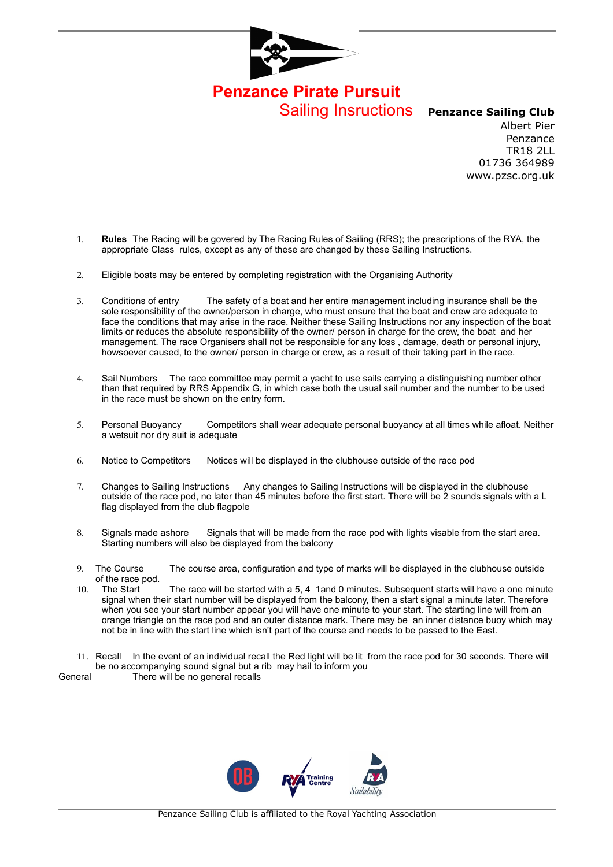

**Penzance Pirate Pursuit** Sailing Insructions **Penzance Sailing Club**

Albert Pier Penzance TR18 2LL 01736 364989 www.pzsc.org.uk

- 1. **Rules** The Racing will be govered by The Racing Rules of Sailing (RRS); the prescriptions of the RYA, the appropriate Class rules, except as any of these are changed by these Sailing Instructions.
- 2. Eligible boats may be entered by completing registration with the Organising Authority
- 3. Conditions of entry The safety of a boat and her entire management including insurance shall be the sole responsibility of the owner/person in charge, who must ensure that the boat and crew are adequate to face the conditions that may arise in the race. Neither these Sailing Instructions nor any inspection of the boat limits or reduces the absolute responsibility of the owner/ person in charge for the crew, the boat and her management. The race Organisers shall not be responsible for any loss , damage, death or personal injury, howsoever caused, to the owner/ person in charge or crew, as a result of their taking part in the race.
- 4. Sail Numbers The race committee may permit a yacht to use sails carrying a distinguishing number other than that required by RRS Appendix G, in which case both the usual sail number and the number to be used in the race must be shown on the entry form.
- 5. Personal Buoyancy Competitors shall wear adequate personal buoyancy at all times while afloat. Neither a wetsuit nor dry suit is adequate
- 6. Notice to Competitors Notices will be displayed in the clubhouse outside of the race pod
- 7. Changes to Sailing Instructions Any changes to Sailing Instructions will be displayed in the clubhouse outside of the race pod, no later than 45 minutes before the first start. There will be 2 sounds signals with a L flag displayed from the club flagpole
- 8. Signals made ashore Signals that will be made from the race pod with lights visable from the start area. Starting numbers will also be displayed from the balcony
- 9. The Course The course area, configuration and type of marks will be displayed in the clubhouse outside of the race pod.
- 10. The Start The race will be started with a 5, 4 1and 0 minutes. Subsequent starts will have a one minute signal when their start number will be displayed from the balcony, then a start signal a minute later. Therefore when you see your start number appear you will have one minute to your start. The starting line will from an orange triangle on the race pod and an outer distance mark. There may be an inner distance buoy which may not be in line with the start line which isn't part of the course and needs to be passed to the East.
- 11. Recall In the event of an individual recall the Red light will be lit from the race pod for 30 seconds. There will be no accompanying sound signal but a rib may hail to inform you
- General There will be no general recalls